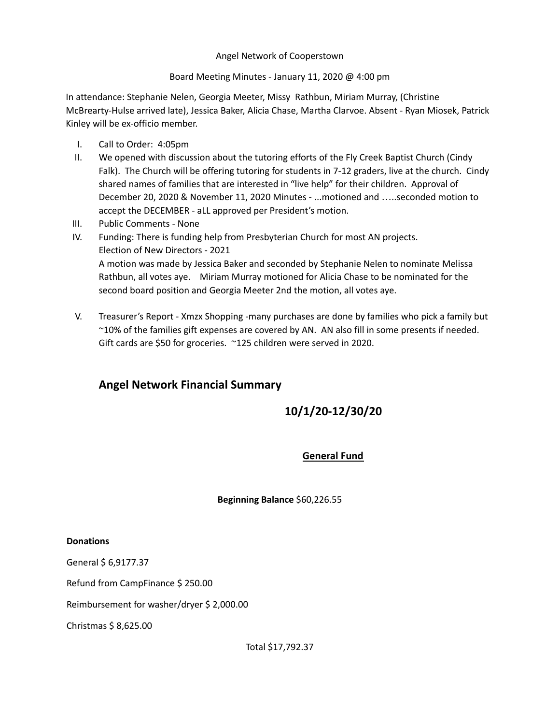## Angel Network of Cooperstown

Board Meeting Minutes - January 11, 2020 @ 4:00 pm

In attendance: Stephanie Nelen, Georgia Meeter, Missy Rathbun, Miriam Murray, (Christine McBrearty-Hulse arrived late), Jessica Baker, Alicia Chase, Martha Clarvoe. Absent - Ryan Miosek, Patrick Kinley will be ex-officio member.

- I. Call to Order: 4:05pm
- II. We opened with discussion about the tutoring efforts of the Fly Creek Baptist Church (Cindy Falk). The Church will be offering tutoring for students in 7-12 graders, live at the church. Cindy shared names of families that are interested in "live help" for their children. Approval of December 20, 2020 & November 11, 2020 Minutes - ...motioned and …..seconded motion to accept the DECEMBER - aLL approved per President's motion.
- III. Public Comments None
- IV. Funding: There is funding help from Presbyterian Church for most AN projects. Election of New Directors - 2021 A motion was made by Jessica Baker and seconded by Stephanie Nelen to nominate Melissa Rathbun, all votes aye. Miriam Murray motioned for Alicia Chase to be nominated for the second board position and Georgia Meeter 2nd the motion, all votes aye.
- V. Treasurer's Report Xmzx Shopping -many purchases are done by families who pick a family but ~10% of the families gift expenses are covered by AN. AN also fill in some presents if needed. Gift cards are \$50 for groceries. ~125 children were served in 2020.

## **Angel Network Financial Summary**

# **10/1/20-12/30/20**

## **General Fund**

## **Beginning Balance** \$60,226.55

### **Donations**

General \$ 6,9177.37

Refund from CampFinance \$ 250.00

Reimbursement for washer/dryer \$ 2,000.00

Christmas \$ 8,625.00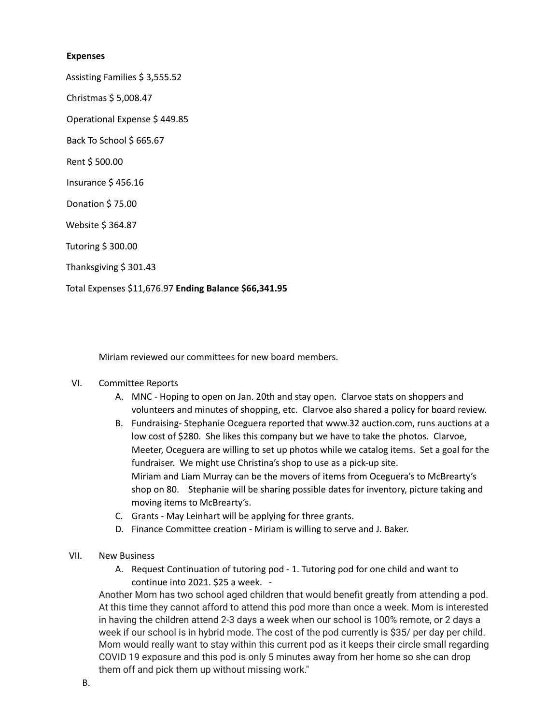#### **Expenses**

Assisting Families \$ 3,555.52

Christmas \$ 5,008.47

Operational Expense \$ 449.85

Back To School \$ 665.67

Rent \$ 500.00

Insurance \$ 456.16

Donation \$ 75.00

Website \$ 364.87

Tutoring \$ 300.00

Thanksgiving \$ 301.43

Total Expenses \$11,676.97 **Ending Balance \$66,341.95**

Miriam reviewed our committees for new board members.

#### VI. Committee Reports

- A. MNC Hoping to open on Jan. 20th and stay open. Clarvoe stats on shoppers and volunteers and minutes of shopping, etc. Clarvoe also shared a policy for board review.
- B. Fundraising- Stephanie Oceguera reported that www.32 auction.com, runs auctions at a low cost of \$280. She likes this company but we have to take the photos. Clarvoe, Meeter, Oceguera are willing to set up photos while we catalog items. Set a goal for the fundraiser. We might use Christina's shop to use as a pick-up site. Miriam and Liam Murray can be the movers of items from Oceguera's to McBrearty's shop on 80. Stephanie will be sharing possible dates for inventory, picture taking and moving items to McBrearty's.
- C. Grants May Leinhart will be applying for three grants.
- D. Finance Committee creation Miriam is willing to serve and J. Baker.
- VII. New Business
	- A. Request Continuation of tutoring pod 1. Tutoring pod for one child and want to continue into 2021. \$25 a week. -

Another Mom has two school aged children that would benefit greatly from attending a pod. At this time they cannot afford to attend this pod more than once a week. Mom is interested in having the children attend 2-3 days a week when our school is 100% remote, or 2 days a week if our school is in hybrid mode. The cost of the pod currently is \$35/ per day per child. Mom would really want to stay within this current pod as it keeps their circle small regarding COVID 19 exposure and this pod is only 5 minutes away from her home so she can drop them off and pick them up without missing work."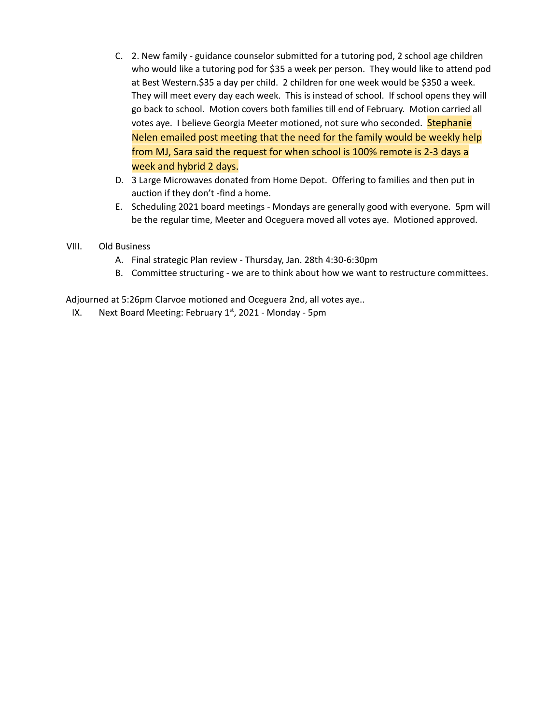- C. 2. New family guidance counselor submitted for a tutoring pod, 2 school age children who would like a tutoring pod for \$35 a week per person. They would like to attend pod at Best Western.\$35 a day per child. 2 children for one week would be \$350 a week. They will meet every day each week. This is instead of school. If school opens they will go back to school. Motion covers both families till end of February. Motion carried all votes aye. I believe Georgia Meeter motioned, not sure who seconded. Stephanie Nelen emailed post meeting that the need for the family would be weekly help from MJ, Sara said the request for when school is 100% remote is 2-3 days a week and hybrid 2 days.
- D. 3 Large Microwaves donated from Home Depot. Offering to families and then put in auction if they don't -find a home.
- E. Scheduling 2021 board meetings Mondays are generally good with everyone. 5pm will be the regular time, Meeter and Oceguera moved all votes aye. Motioned approved.
- VIII. Old Business
	- A. Final strategic Plan review Thursday, Jan. 28th 4:30-6:30pm
	- B. Committee structuring we are to think about how we want to restructure committees.

Adjourned at 5:26pm Clarvoe motioned and Oceguera 2nd, all votes aye..

IX. Next Board Meeting: February 1st, 2021 - Monday - 5pm